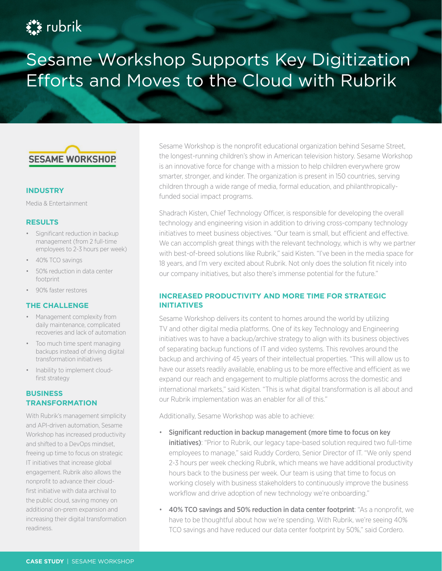# **Ext** rubrik

# Sesame Workshop Supports Key Digitization Efforts and Moves to the Cloud with Rubrik



#### **INDUSTRY**

Media & Entertainment

#### **RESULTS**

- Significant reduction in backup management (from 2 full-time employees to 2-3 hours per week)
- 40% TCO savings
- 50% reduction in data center footprint
- 90% faster restores

# **THE CHALLENGE**

- Management complexity from daily maintenance, complicated recoveries and lack of automation
- Too much time spent managing backups instead of driving digital transformation initiatives
- Inability to implement cloudfirst strategy

# **BUSINESS TRANSFORMATION**

With Rubrik's management simplicity and API-driven automation, Sesame Workshop has increased productivity and shifted to a DevOps mindset, freeing up time to focus on strategic IT initiatives that increase global engagement. Rubrik also allows the nonprofit to advance their cloudfirst initiative with data archival to the public cloud, saving money on additional on-prem expansion and increasing their digital transformation readiness.

Sesame Workshop is the nonprofit educational organization behind Sesame Street, the longest-running children's show in American television history. Sesame Workshop is an innovative force for change with a mission to help children everywhere grow smarter, stronger, and kinder. The organization is present in 150 countries, serving children through a wide range of media, formal education, and philanthropicallyfunded social impact programs.

Shadrach Kisten, Chief Technology Officer, is responsible for developing the overall technology and engineering vision in addition to driving cross-company technology initiatives to meet business objectives. "Our team is small, but efficient and effective. We can accomplish great things with the relevant technology, which is why we partner with best-of-breed solutions like Rubrik," said Kisten. "I've been in the media space for 18 years, and I'm very excited about Rubrik. Not only does the solution fit nicely into our company initiatives, but also there's immense potential for the future."

# **INCREASED PRODUCTIVITY AND MORE TIME FOR STRATEGIC INITIATIVES**

Sesame Workshop delivers its content to homes around the world by utilizing TV and other digital media platforms. One of its key Technology and Engineering initiatives was to have a backup/archive strategy to align with its business objectives of separating backup functions of IT and video systems. This revolves around the backup and archiving of 45 years of their intellectual properties. "This will allow us to have our assets readily available, enabling us to be more effective and efficient as we expand our reach and engagement to multiple platforms across the domestic and international markets," said Kisten. "This is what digital transformation is all about and our Rubrik implementation was an enabler for all of this."

Additionally, Sesame Workshop was able to achieve:

- Significant reduction in backup management (more time to focus on key **initiatives)**: "Prior to Rubrik, our legacy tape-based solution required two full-time employees to manage," said Ruddy Cordero, Senior Director of IT. "We only spend 2-3 hours per week checking Rubrik, which means we have additional productivity hours back to the business per week. Our team is using that time to focus on working closely with business stakeholders to continuously improve the business workflow and drive adoption of new technology we're onboarding."
- 40% TCO savings and 50% reduction in data center footprint: "As a nonprofit, we have to be thoughtful about how we're spending. With Rubrik, we're seeing 40% TCO savings and have reduced our data center footprint by 50%," said Cordero.